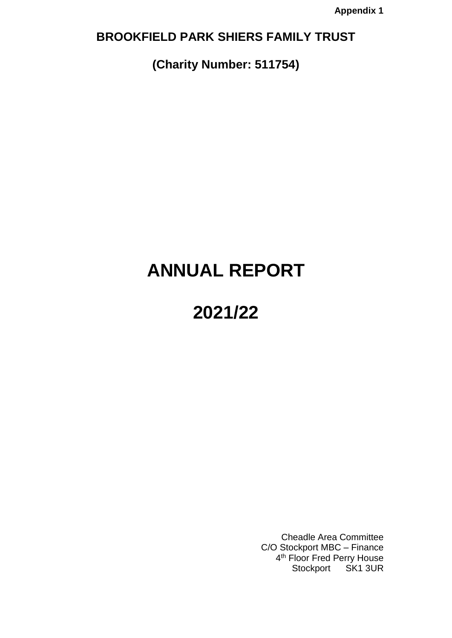# **BROOKFIELD PARK SHIERS FAMILY TRUST**

**(Charity Number: 511754)**

# **ANNUAL REPORT**

# **2021/22**

Cheadle Area Committee C/O Stockport MBC – Finance 4<sup>th</sup> Floor Fred Perry House Stockport SK1 3UR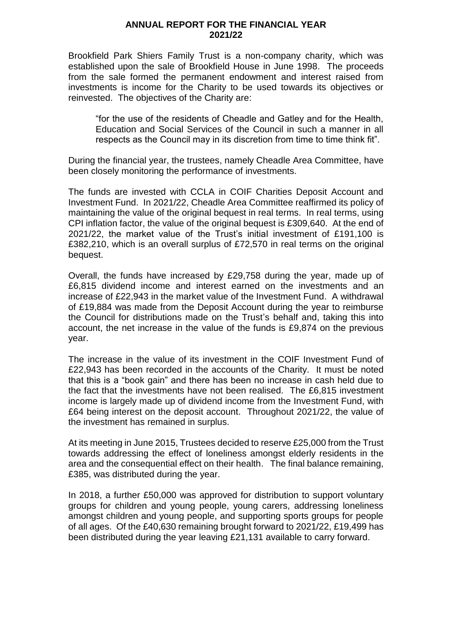#### **ANNUAL REPORT FOR THE FINANCIAL YEAR 2021/22**

Brookfield Park Shiers Family Trust is a non-company charity, which was established upon the sale of Brookfield House in June 1998. The proceeds from the sale formed the permanent endowment and interest raised from investments is income for the Charity to be used towards its objectives or reinvested. The objectives of the Charity are:

"for the use of the residents of Cheadle and Gatley and for the Health, Education and Social Services of the Council in such a manner in all respects as the Council may in its discretion from time to time think fit".

During the financial year, the trustees, namely Cheadle Area Committee, have been closely monitoring the performance of investments.

The funds are invested with CCLA in COIF Charities Deposit Account and Investment Fund. In 2021/22, Cheadle Area Committee reaffirmed its policy of maintaining the value of the original bequest in real terms. In real terms, using CPI inflation factor, the value of the original bequest is £309,640. At the end of 2021/22, the market value of the Trust's initial investment of £191,100 is £382,210, which is an overall surplus of £72,570 in real terms on the original bequest.

Overall, the funds have increased by £29,758 during the year, made up of £6,815 dividend income and interest earned on the investments and an increase of £22,943 in the market value of the Investment Fund. A withdrawal of £19,884 was made from the Deposit Account during the year to reimburse the Council for distributions made on the Trust's behalf and, taking this into account, the net increase in the value of the funds is £9,874 on the previous year.

The increase in the value of its investment in the COIF Investment Fund of £22,943 has been recorded in the accounts of the Charity. It must be noted that this is a "book gain" and there has been no increase in cash held due to the fact that the investments have not been realised. The £6,815 investment income is largely made up of dividend income from the Investment Fund, with £64 being interest on the deposit account. Throughout 2021/22, the value of the investment has remained in surplus.

At its meeting in June 2015, Trustees decided to reserve £25,000 from the Trust towards addressing the effect of loneliness amongst elderly residents in the area and the consequential effect on their health. The final balance remaining, £385, was distributed during the year.

In 2018, a further £50,000 was approved for distribution to support voluntary groups for children and young people, young carers, addressing loneliness amongst children and young people, and supporting sports groups for people of all ages. Of the £40,630 remaining brought forward to 2021/22, £19,499 has been distributed during the year leaving £21,131 available to carry forward.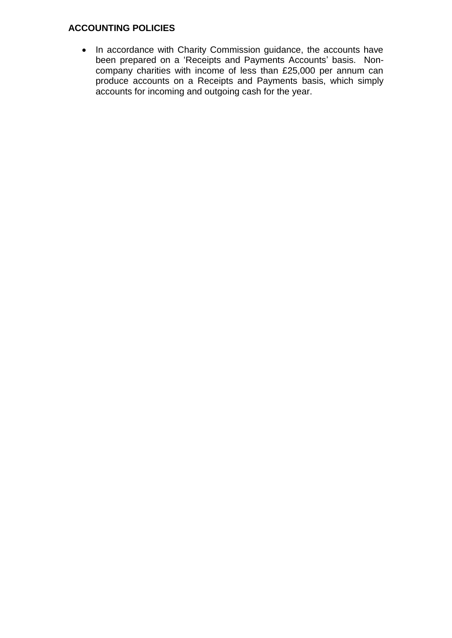## **ACCOUNTING POLICIES**

• In accordance with Charity Commission guidance, the accounts have been prepared on a 'Receipts and Payments Accounts' basis. Noncompany charities with income of less than £25,000 per annum can produce accounts on a Receipts and Payments basis, which simply accounts for incoming and outgoing cash for the year.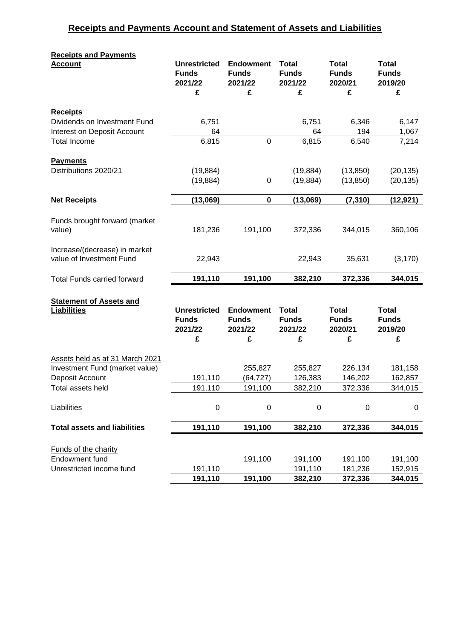# **Receipts and Payments Account and Statement of Assets and Liabilities**

| <b>Receipts and Payments</b>                                      |                                                |                                             |                                         |                                         |                                         |
|-------------------------------------------------------------------|------------------------------------------------|---------------------------------------------|-----------------------------------------|-----------------------------------------|-----------------------------------------|
| <b>Account</b>                                                    | <b>Unrestricted</b><br><b>Funds</b><br>2021/22 | <b>Endowment</b><br><b>Funds</b><br>2021/22 | <b>Total</b><br><b>Funds</b><br>2021/22 | <b>Total</b><br><b>Funds</b><br>2020/21 | <b>Total</b><br><b>Funds</b><br>2019/20 |
|                                                                   | £                                              | £                                           | £                                       | £                                       | £                                       |
| <b>Receipts</b>                                                   |                                                |                                             |                                         |                                         |                                         |
| Dividends on Investment Fund                                      | 6,751                                          |                                             | 6,751                                   | 6,346                                   | 6,147                                   |
| Interest on Deposit Account                                       | 64                                             |                                             | 64                                      | 194                                     | 1,067                                   |
| <b>Total Income</b>                                               | 6,815                                          | $\mathbf 0$                                 | 6,815                                   | 6,540                                   | 7,214                                   |
|                                                                   |                                                |                                             |                                         |                                         |                                         |
| <b>Payments</b><br>Distributions 2020/21                          | (19, 884)                                      |                                             | (19, 884)                               | (13, 850)                               | (20, 135)                               |
|                                                                   | (19, 884)                                      | 0                                           | (19, 884)                               | (13, 850)                               | (20, 135)                               |
|                                                                   |                                                |                                             |                                         |                                         |                                         |
| <b>Net Receipts</b>                                               | (13,069)                                       | $\pmb{0}$                                   | (13,069)                                | (7, 310)                                | (12, 921)                               |
|                                                                   |                                                |                                             |                                         |                                         |                                         |
| Funds brought forward (market<br>value)                           | 181,236                                        | 191,100                                     | 372,336                                 | 344,015                                 | 360,106                                 |
|                                                                   |                                                |                                             |                                         |                                         |                                         |
| Increase/(decrease) in market                                     |                                                |                                             |                                         |                                         |                                         |
| value of Investment Fund                                          | 22,943                                         |                                             | 22,943                                  | 35,631                                  | (3, 170)                                |
| <b>Total Funds carried forward</b>                                | 191,110                                        | 191,100                                     | 382,210                                 | 372,336                                 | 344,015                                 |
|                                                                   |                                                |                                             |                                         |                                         |                                         |
| <b>Statement of Assets and</b>                                    |                                                |                                             |                                         |                                         |                                         |
| <b>Liabilities</b>                                                | <b>Unrestricted</b><br><b>Funds</b>            | <b>Endowment</b><br><b>Funds</b>            | <b>Total</b><br><b>Funds</b>            | <b>Total</b><br><b>Funds</b>            | <b>Total</b><br><b>Funds</b>            |
|                                                                   | 2021/22                                        | 2021/22                                     | 2021/22                                 | 2020/21                                 | 2019/20                                 |
|                                                                   | £                                              | £                                           | £                                       | £                                       | £                                       |
|                                                                   |                                                |                                             |                                         |                                         |                                         |
| Assets held as at 31 March 2021<br>Investment Fund (market value) |                                                | 255,827                                     | 255,827                                 | 226,134                                 | 181,158                                 |
| Deposit Account                                                   | 191,110                                        | (64, 727)                                   | 126,383                                 | 146,202                                 | 162,857                                 |
| Total assets held                                                 | 191,110                                        | 191,100                                     | 382,210                                 | 372,336                                 | 344,015                                 |
|                                                                   |                                                |                                             |                                         |                                         |                                         |
| Liabilities                                                       | 0                                              | $\boldsymbol{0}$                            | $\boldsymbol{0}$                        | $\boldsymbol{0}$                        | $\boldsymbol{0}$                        |
| <b>Total assets and liabilities</b>                               | 191,110                                        | 191,100                                     | 382,210                                 | 372,336                                 | 344,015                                 |
|                                                                   |                                                |                                             |                                         |                                         |                                         |
| Funds of the charity                                              |                                                |                                             |                                         |                                         |                                         |
| Endowment fund                                                    |                                                | 191,100                                     | 191,100                                 | 191,100                                 | 191,100                                 |
| Unrestricted income fund                                          | 191,110<br>191,110                             | 191,100                                     | 191,110<br>382,210                      | 181,236<br>372,336                      | 152,915<br>344,015                      |
|                                                                   |                                                |                                             |                                         |                                         |                                         |